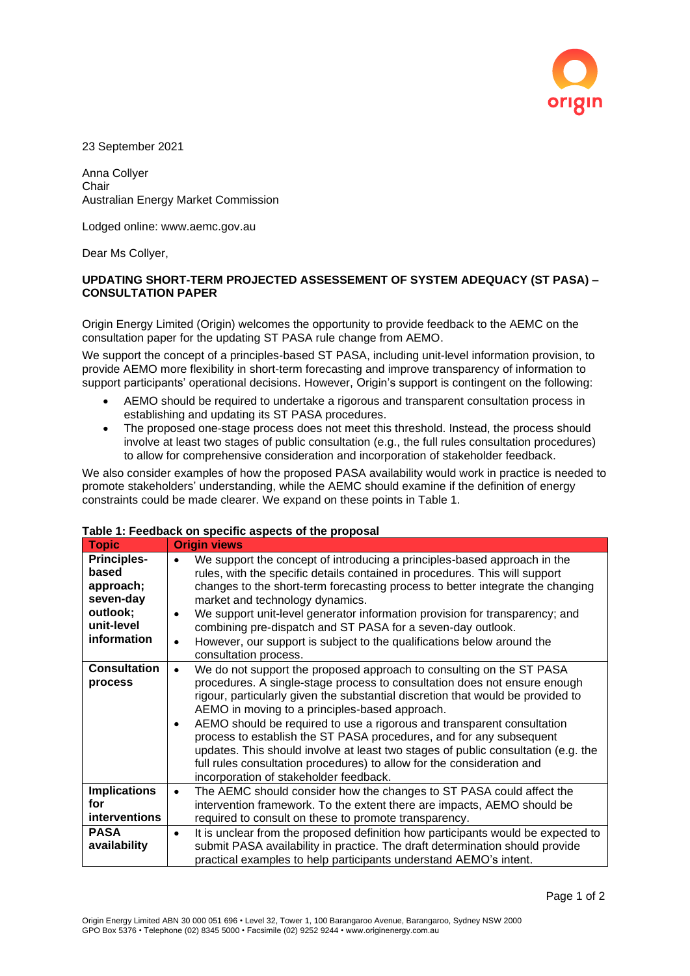

23 September 2021

Anna Collyer Chair Australian Energy Market Commission

Lodged online: www.aemc.gov.au

Dear Ms Collyer,

## **UPDATING SHORT-TERM PROJECTED ASSESSEMENT OF SYSTEM ADEQUACY (ST PASA) – CONSULTATION PAPER**

Origin Energy Limited (Origin) welcomes the opportunity to provide feedback to the AEMC on the consultation paper for the updating ST PASA rule change from AEMO.

We support the concept of a principles-based ST PASA, including unit-level information provision, to provide AEMO more flexibility in short-term forecasting and improve transparency of information to support participants' operational decisions. However, Origin's support is contingent on the following:

- AEMO should be required to undertake a rigorous and transparent consultation process in establishing and updating its ST PASA procedures.
- The proposed one-stage process does not meet this threshold. Instead, the process should involve at least two stages of public consultation (e.g., the full rules consultation procedures) to allow for comprehensive consideration and incorporation of stakeholder feedback.

We also consider examples of how the proposed PASA availability would work in practice is needed to promote stakeholders' understanding, while the AEMC should examine if the definition of energy constraints could be made clearer. We expand on these points in Table 1.

## **Table 1: Feedback on specific aspects of the proposal**

| <b>Topic</b>                                                                                   | <b>Origin views</b>                                                                                                                                                                                                                                                                                                                                                                                                                                                                                                                                                                                                                                                        |
|------------------------------------------------------------------------------------------------|----------------------------------------------------------------------------------------------------------------------------------------------------------------------------------------------------------------------------------------------------------------------------------------------------------------------------------------------------------------------------------------------------------------------------------------------------------------------------------------------------------------------------------------------------------------------------------------------------------------------------------------------------------------------------|
| <b>Principles-</b><br>based<br>approach;<br>seven-day<br>outlook;<br>unit-level<br>information | We support the concept of introducing a principles-based approach in the<br>rules, with the specific details contained in procedures. This will support<br>changes to the short-term forecasting process to better integrate the changing<br>market and technology dynamics.<br>We support unit-level generator information provision for transparency; and<br>$\bullet$<br>combining pre-dispatch and ST PASA for a seven-day outlook.<br>However, our support is subject to the qualifications below around the<br>$\bullet$<br>consultation process.                                                                                                                    |
| <b>Consultation</b><br>process                                                                 | We do not support the proposed approach to consulting on the ST PASA<br>$\bullet$<br>procedures. A single-stage process to consultation does not ensure enough<br>rigour, particularly given the substantial discretion that would be provided to<br>AEMO in moving to a principles-based approach.<br>AEMO should be required to use a rigorous and transparent consultation<br>$\bullet$<br>process to establish the ST PASA procedures, and for any subsequent<br>updates. This should involve at least two stages of public consultation (e.g. the<br>full rules consultation procedures) to allow for the consideration and<br>incorporation of stakeholder feedback. |
| <b>Implications</b><br>for<br>interventions                                                    | The AEMC should consider how the changes to ST PASA could affect the<br>$\bullet$<br>intervention framework. To the extent there are impacts, AEMO should be<br>required to consult on these to promote transparency.                                                                                                                                                                                                                                                                                                                                                                                                                                                      |
| <b>PASA</b><br>availability                                                                    | It is unclear from the proposed definition how participants would be expected to<br>$\bullet$<br>submit PASA availability in practice. The draft determination should provide<br>practical examples to help participants understand AEMO's intent.                                                                                                                                                                                                                                                                                                                                                                                                                         |